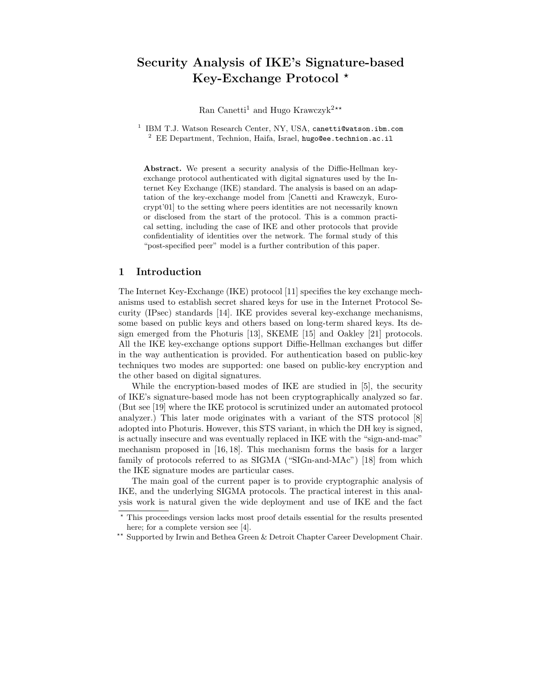# Security Analysis of IKE's Signature-based Key-Exchange Protocol  $*$

Ran Canetti<sup>1</sup> and Hugo Krawczyk<sup>2\*\*</sup>

1 IBM T.J. Watson Research Center, NY, USA, canetti@watson.ibm.com  $2$  EE Department, Technion, Haifa, Israel, hugo@ee.technion.ac.il

Abstract. We present a security analysis of the Diffie-Hellman keyexchange protocol authenticated with digital signatures used by the Internet Key Exchange (IKE) standard. The analysis is based on an adaptation of the key-exchange model from [Canetti and Krawczyk, Eurocrypt'01] to the setting where peers identities are not necessarily known or disclosed from the start of the protocol. This is a common practical setting, including the case of IKE and other protocols that provide confidentiality of identities over the network. The formal study of this "post-specified peer" model is a further contribution of this paper.

# 1 Introduction

The Internet Key-Exchange (IKE) protocol [11] specifies the key exchange mechanisms used to establish secret shared keys for use in the Internet Protocol Security (IPsec) standards [14]. IKE provides several key-exchange mechanisms, some based on public keys and others based on long-term shared keys. Its design emerged from the Photuris [13], SKEME [15] and Oakley [21] protocols. All the IKE key-exchange options support Diffie-Hellman exchanges but differ in the way authentication is provided. For authentication based on public-key techniques two modes are supported: one based on public-key encryption and the other based on digital signatures.

While the encryption-based modes of IKE are studied in [5], the security of IKE's signature-based mode has not been cryptographically analyzed so far. (But see [19] where the IKE protocol is scrutinized under an automated protocol analyzer.) This later mode originates with a variant of the STS protocol [8] adopted into Photuris. However, this STS variant, in which the DH key is signed, is actually insecure and was eventually replaced in IKE with the "sign-and-mac" mechanism proposed in [16, 18]. This mechanism forms the basis for a larger family of protocols referred to as SIGMA ("SIGn-and-MAc") [18] from which the IKE signature modes are particular cases.

The main goal of the current paper is to provide cryptographic analysis of IKE, and the underlying SIGMA protocols. The practical interest in this analysis work is natural given the wide deployment and use of IKE and the fact

<sup>?</sup> This proceedings version lacks most proof details essential for the results presented here; for a complete version see [4].

<sup>\*\*</sup> Supported by Irwin and Bethea Green & Detroit Chapter Career Development Chair.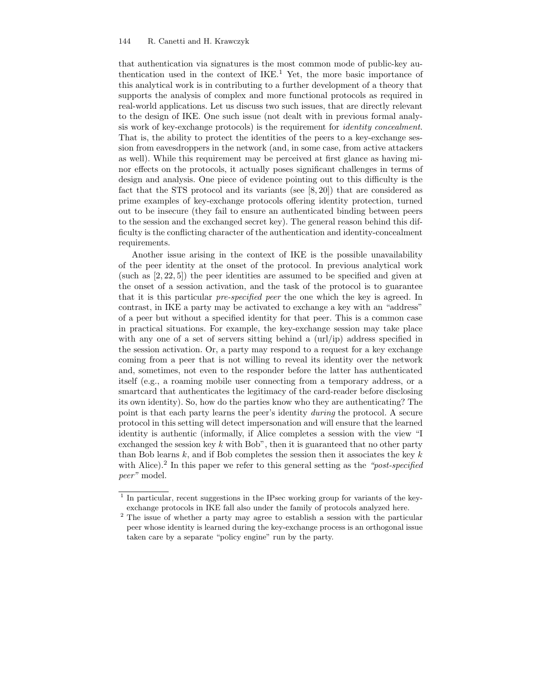that authentication via signatures is the most common mode of public-key authentication used in the context of  $IKE$ .<sup>1</sup> Yet, the more basic importance of this analytical work is in contributing to a further development of a theory that supports the analysis of complex and more functional protocols as required in real-world applications. Let us discuss two such issues, that are directly relevant to the design of IKE. One such issue (not dealt with in previous formal analysis work of key-exchange protocols) is the requirement for identity concealment. That is, the ability to protect the identities of the peers to a key-exchange session from eavesdroppers in the network (and, in some case, from active attackers as well). While this requirement may be perceived at first glance as having minor effects on the protocols, it actually poses significant challenges in terms of design and analysis. One piece of evidence pointing out to this difficulty is the fact that the STS protocol and its variants (see [8, 20]) that are considered as prime examples of key-exchange protocols offering identity protection, turned out to be insecure (they fail to ensure an authenticated binding between peers to the session and the exchanged secret key). The general reason behind this difficulty is the conflicting character of the authentication and identity-concealment requirements.

Another issue arising in the context of IKE is the possible unavailability of the peer identity at the onset of the protocol. In previous analytical work (such as [2, 22, 5]) the peer identities are assumed to be specified and given at the onset of a session activation, and the task of the protocol is to guarantee that it is this particular pre-specified peer the one which the key is agreed. In contrast, in IKE a party may be activated to exchange a key with an "address" of a peer but without a specified identity for that peer. This is a common case in practical situations. For example, the key-exchange session may take place with any one of a set of servers sitting behind a  $\text{(url/ip)}$  address specified in the session activation. Or, a party may respond to a request for a key exchange coming from a peer that is not willing to reveal its identity over the network and, sometimes, not even to the responder before the latter has authenticated itself (e.g., a roaming mobile user connecting from a temporary address, or a smartcard that authenticates the legitimacy of the card-reader before disclosing its own identity). So, how do the parties know who they are authenticating? The point is that each party learns the peer's identity during the protocol. A secure protocol in this setting will detect impersonation and will ensure that the learned identity is authentic (informally, if Alice completes a session with the view "I exchanged the session key  $k$  with Bob", then it is guaranteed that no other party than Bob learns  $k$ , and if Bob completes the session then it associates the key  $k$ with Alice).<sup>2</sup> In this paper we refer to this general setting as the "post-specified peer" model.

<sup>&</sup>lt;sup>1</sup> In particular, recent suggestions in the IPsec working group for variants of the keyexchange protocols in IKE fall also under the family of protocols analyzed here.

<sup>&</sup>lt;sup>2</sup> The issue of whether a party may agree to establish a session with the particular peer whose identity is learned during the key-exchange process is an orthogonal issue taken care by a separate "policy engine" run by the party.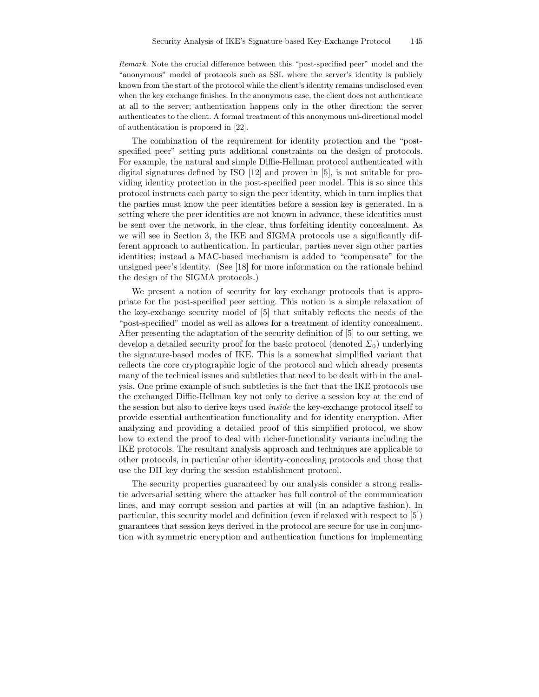Remark. Note the crucial difference between this "post-specified peer" model and the "anonymous" model of protocols such as SSL where the server's identity is publicly known from the start of the protocol while the client's identity remains undisclosed even when the key exchange finishes. In the anonymous case, the client does not authenticate at all to the server; authentication happens only in the other direction: the server authenticates to the client. A formal treatment of this anonymous uni-directional model of authentication is proposed in [22].

The combination of the requirement for identity protection and the "postspecified peer" setting puts additional constraints on the design of protocols. For example, the natural and simple Diffie-Hellman protocol authenticated with digital signatures defined by ISO [12] and proven in [5], is not suitable for providing identity protection in the post-specified peer model. This is so since this protocol instructs each party to sign the peer identity, which in turn implies that the parties must know the peer identities before a session key is generated. In a setting where the peer identities are not known in advance, these identities must be sent over the network, in the clear, thus forfeiting identity concealment. As we will see in Section 3, the IKE and SIGMA protocols use a significantly different approach to authentication. In particular, parties never sign other parties identities; instead a MAC-based mechanism is added to "compensate" for the unsigned peer's identity. (See [18] for more information on the rationale behind the design of the SIGMA protocols.)

We present a notion of security for key exchange protocols that is appropriate for the post-specified peer setting. This notion is a simple relaxation of the key-exchange security model of [5] that suitably reflects the needs of the "post-specified" model as well as allows for a treatment of identity concealment. After presenting the adaptation of the security definition of [5] to our setting, we develop a detailed security proof for the basic protocol (denoted  $\Sigma_0$ ) underlying the signature-based modes of IKE. This is a somewhat simplified variant that reflects the core cryptographic logic of the protocol and which already presents many of the technical issues and subtleties that need to be dealt with in the analysis. One prime example of such subtleties is the fact that the IKE protocols use the exchanged Diffie-Hellman key not only to derive a session key at the end of the session but also to derive keys used inside the key-exchange protocol itself to provide essential authentication functionality and for identity encryption. After analyzing and providing a detailed proof of this simplified protocol, we show how to extend the proof to deal with richer-functionality variants including the IKE protocols. The resultant analysis approach and techniques are applicable to other protocols, in particular other identity-concealing protocols and those that use the DH key during the session establishment protocol.

The security properties guaranteed by our analysis consider a strong realistic adversarial setting where the attacker has full control of the communication lines, and may corrupt session and parties at will (in an adaptive fashion). In particular, this security model and definition (even if relaxed with respect to [5]) guarantees that session keys derived in the protocol are secure for use in conjunction with symmetric encryption and authentication functions for implementing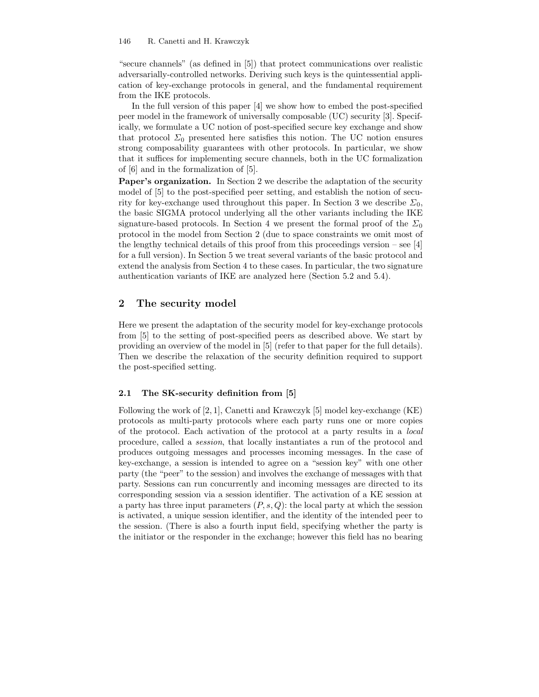"secure channels" (as defined in [5]) that protect communications over realistic adversarially-controlled networks. Deriving such keys is the quintessential application of key-exchange protocols in general, and the fundamental requirement from the IKE protocols.

In the full version of this paper [4] we show how to embed the post-specified peer model in the framework of universally composable (UC) security [3]. Specifically, we formulate a UC notion of post-specified secure key exchange and show that protocol  $\Sigma_0$  presented here satisfies this notion. The UC notion ensures strong composability guarantees with other protocols. In particular, we show that it suffices for implementing secure channels, both in the UC formalization of [6] and in the formalization of [5].

Paper's organization. In Section 2 we describe the adaptation of the security model of [5] to the post-specified peer setting, and establish the notion of security for key-exchange used throughout this paper. In Section 3 we describe  $\Sigma_0$ , the basic SIGMA protocol underlying all the other variants including the IKE signature-based protocols. In Section 4 we present the formal proof of the  $\Sigma_0$ protocol in the model from Section 2 (due to space constraints we omit most of the lengthy technical details of this proof from this proceedings version – see  $[4]$ for a full version). In Section 5 we treat several variants of the basic protocol and extend the analysis from Section 4 to these cases. In particular, the two signature authentication variants of IKE are analyzed here (Section 5.2 and 5.4).

# 2 The security model

Here we present the adaptation of the security model for key-exchange protocols from [5] to the setting of post-specified peers as described above. We start by providing an overview of the model in [5] (refer to that paper for the full details). Then we describe the relaxation of the security definition required to support the post-specified setting.

## 2.1 The SK-security definition from [5]

Following the work of [2, 1], Canetti and Krawczyk [5] model key-exchange (KE) protocols as multi-party protocols where each party runs one or more copies of the protocol. Each activation of the protocol at a party results in a local procedure, called a session, that locally instantiates a run of the protocol and produces outgoing messages and processes incoming messages. In the case of key-exchange, a session is intended to agree on a "session key" with one other party (the "peer" to the session) and involves the exchange of messages with that party. Sessions can run concurrently and incoming messages are directed to its corresponding session via a session identifier. The activation of a KE session at a party has three input parameters  $(P, s, Q)$ : the local party at which the session is activated, a unique session identifier, and the identity of the intended peer to the session. (There is also a fourth input field, specifying whether the party is the initiator or the responder in the exchange; however this field has no bearing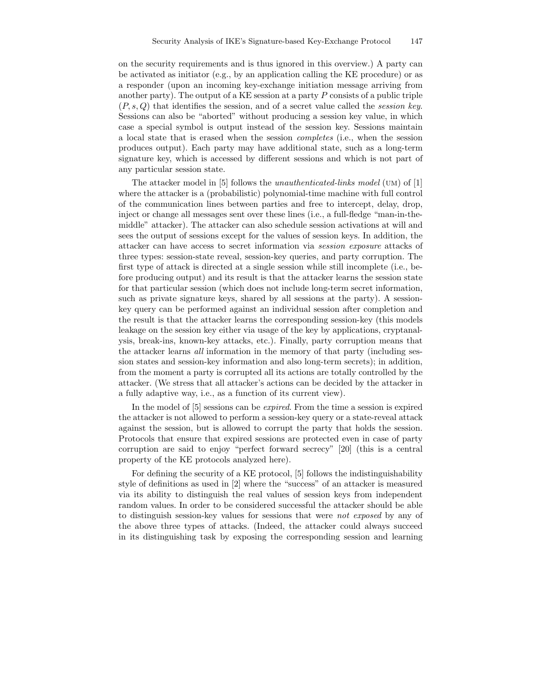on the security requirements and is thus ignored in this overview.) A party can be activated as initiator (e.g., by an application calling the KE procedure) or as a responder (upon an incoming key-exchange initiation message arriving from another party). The output of a KE session at a party  $P$  consists of a public triple  $(P, s, Q)$  that identifies the session, and of a secret value called the session key. Sessions can also be "aborted" without producing a session key value, in which case a special symbol is output instead of the session key. Sessions maintain a local state that is erased when the session completes (i.e., when the session produces output). Each party may have additional state, such as a long-term signature key, which is accessed by different sessions and which is not part of any particular session state.

The attacker model in [5] follows the *unauthenticated-links model* (UM) of [1] where the attacker is a (probabilistic) polynomial-time machine with full control of the communication lines between parties and free to intercept, delay, drop, inject or change all messages sent over these lines (i.e., a full-fledge "man-in-themiddle" attacker). The attacker can also schedule session activations at will and sees the output of sessions except for the values of session keys. In addition, the attacker can have access to secret information via session exposure attacks of three types: session-state reveal, session-key queries, and party corruption. The first type of attack is directed at a single session while still incomplete (i.e., before producing output) and its result is that the attacker learns the session state for that particular session (which does not include long-term secret information, such as private signature keys, shared by all sessions at the party). A sessionkey query can be performed against an individual session after completion and the result is that the attacker learns the corresponding session-key (this models leakage on the session key either via usage of the key by applications, cryptanalysis, break-ins, known-key attacks, etc.). Finally, party corruption means that the attacker learns all information in the memory of that party (including session states and session-key information and also long-term secrets); in addition, from the moment a party is corrupted all its actions are totally controlled by the attacker. (We stress that all attacker's actions can be decided by the attacker in a fully adaptive way, i.e., as a function of its current view).

In the model of [5] sessions can be expired. From the time a session is expired the attacker is not allowed to perform a session-key query or a state-reveal attack against the session, but is allowed to corrupt the party that holds the session. Protocols that ensure that expired sessions are protected even in case of party corruption are said to enjoy "perfect forward secrecy" [20] (this is a central property of the KE protocols analyzed here).

For defining the security of a KE protocol, [5] follows the indistinguishability style of definitions as used in [2] where the "success" of an attacker is measured via its ability to distinguish the real values of session keys from independent random values. In order to be considered successful the attacker should be able to distinguish session-key values for sessions that were not exposed by any of the above three types of attacks. (Indeed, the attacker could always succeed in its distinguishing task by exposing the corresponding session and learning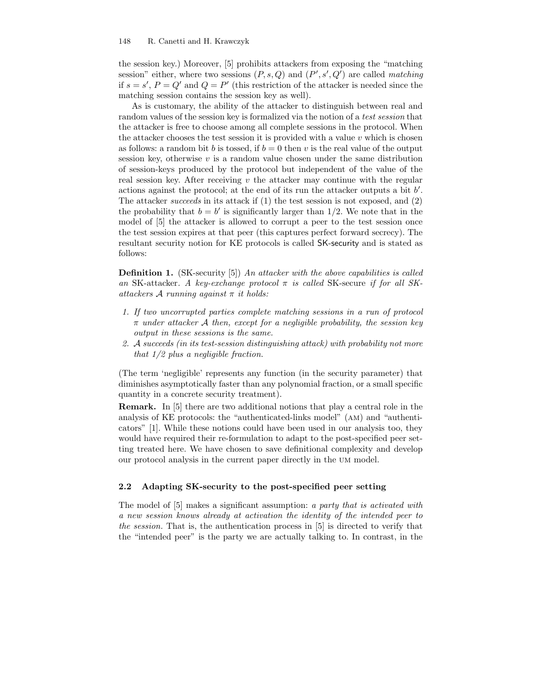the session key.) Moreover, [5] prohibits attackers from exposing the "matching session" either, where two sessions  $(P, s, Q)$  and  $(P', s', Q')$  are called matching if  $s = s'$ ,  $P = Q'$  and  $Q = P'$  (this restriction of the attacker is needed since the matching session contains the session key as well).

As is customary, the ability of the attacker to distinguish between real and random values of the session key is formalized via the notion of a test session that the attacker is free to choose among all complete sessions in the protocol. When the attacker chooses the test session it is provided with a value  $v$  which is chosen as follows: a random bit b is tossed, if  $b = 0$  then v is the real value of the output session key, otherwise  $v$  is a random value chosen under the same distribution of session-keys produced by the protocol but independent of the value of the real session key. After receiving  $v$  the attacker may continue with the regular actions against the protocol; at the end of its run the attacker outputs a bit  $b'$ . The attacker succeeds in its attack if  $(1)$  the test session is not exposed, and  $(2)$ the probability that  $b = b'$  is significantly larger than 1/2. We note that in the model of [5] the attacker is allowed to corrupt a peer to the test session once the test session expires at that peer (this captures perfect forward secrecy). The resultant security notion for KE protocols is called SK-security and is stated as follows:

**Definition 1.** (SK-security [5]) An attacker with the above capabilities is called an SK-attacker. A key-exchange protocol  $\pi$  is called SK-secure if for all SKattackers  $A$  running against  $\pi$  it holds:

- 1. If two uncorrupted parties complete matching sessions in a run of protocol  $\pi$  under attacker A then, except for a negligible probability, the session key output in these sessions is the same.
- 2. A succeeds (in its test-session distinguishing attack) with probability not more that 1/2 plus a negligible fraction.

(The term 'negligible' represents any function (in the security parameter) that diminishes asymptotically faster than any polynomial fraction, or a small specific quantity in a concrete security treatment).

Remark. In [5] there are two additional notions that play a central role in the analysis of KE protocols: the "authenticated-links model" (am) and "authenticators" [1]. While these notions could have been used in our analysis too, they would have required their re-formulation to adapt to the post-specified peer setting treated here. We have chosen to save definitional complexity and develop our protocol analysis in the current paper directly in the um model.

### 2.2 Adapting SK-security to the post-specified peer setting

The model of [5] makes a significant assumption: a party that is activated with a new session knows already at activation the identity of the intended peer to the session. That is, the authentication process in [5] is directed to verify that the "intended peer" is the party we are actually talking to. In contrast, in the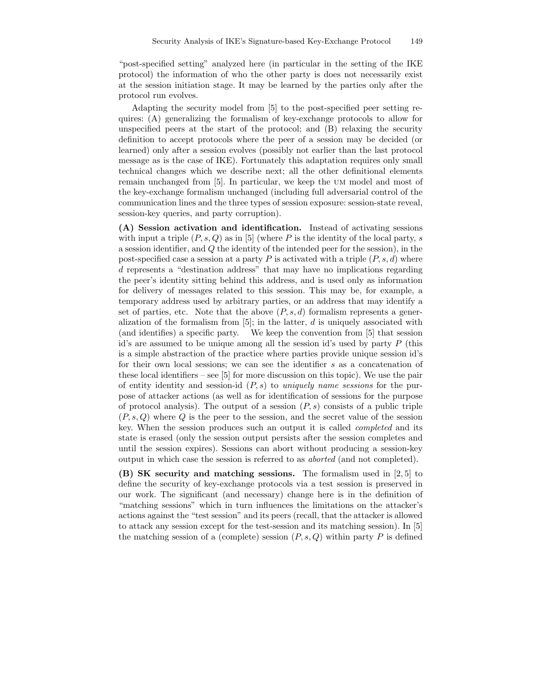"post-specified setting" analyzed here (in particular in the setting of the IKE protocol) the information of who the other party is does not necessarily exist at the session initiation stage. It may be learned by the parties only after the protocol run evolves.

Adapting the security model from [5] to the post-specified peer setting requires: (A) generalizing the formalism of key-exchange protocols to allow for unspecified peers at the start of the protocol; and (B) relaxing the security definition to accept protocols where the peer of a session may be decided (or learned) only after a session evolves (possibly not earlier than the last protocol message as is the case of IKE). Fortunately this adaptation requires only small technical changes which we describe next; all the other definitional elements remain unchanged from [5]. In particular, we keep the um model and most of the key-exchange formalism unchanged (including full adversarial control of the communication lines and the three types of session exposure: session-state reveal, session-key queries, and party corruption).

(A) Session activation and identification. Instead of activating sessions with input a triple  $(P, s, Q)$  as in [5] (where P is the identity of the local party, s a session identifier, and Q the identity of the intended peer for the session), in the post-specified case a session at a party  $P$  is activated with a triple  $(P, s, d)$  where d represents a "destination address" that may have no implications regarding the peer's identity sitting behind this address, and is used only as information for delivery of messages related to this session. This may be, for example, a temporary address used by arbitrary parties, or an address that may identify a set of parties, etc. Note that the above  $(P, s, d)$  formalism represents a generalization of the formalism from  $[5]$ ; in the latter, d is uniquely associated with (and identifies) a specific party. We keep the convention from [5] that session id's are assumed to be unique among all the session id's used by party  $P$  (this is a simple abstraction of the practice where parties provide unique session id's for their own local sessions; we can see the identifier s as a concatenation of these local identifiers – see [5] for more discussion on this topic). We use the pair of entity identity and session-id  $(P, s)$  to uniquely name sessions for the purpose of attacker actions (as well as for identification of sessions for the purpose of protocol analysis). The output of a session  $(P, s)$  consists of a public triple  $(P, s, Q)$  where Q is the peer to the session, and the secret value of the session key. When the session produces such an output it is called completed and its state is erased (only the session output persists after the session completes and until the session expires). Sessions can abort without producing a session-key output in which case the session is referred to as aborted (and not completed).

(B) SK security and matching sessions. The formalism used in [2, 5] to define the security of key-exchange protocols via a test session is preserved in our work. The significant (and necessary) change here is in the definition of "matching sessions" which in turn influences the limitations on the attacker's actions against the "test session" and its peers (recall, that the attacker is allowed to attack any session except for the test-session and its matching session). In [5] the matching session of a (complete) session  $(P, s, Q)$  within party P is defined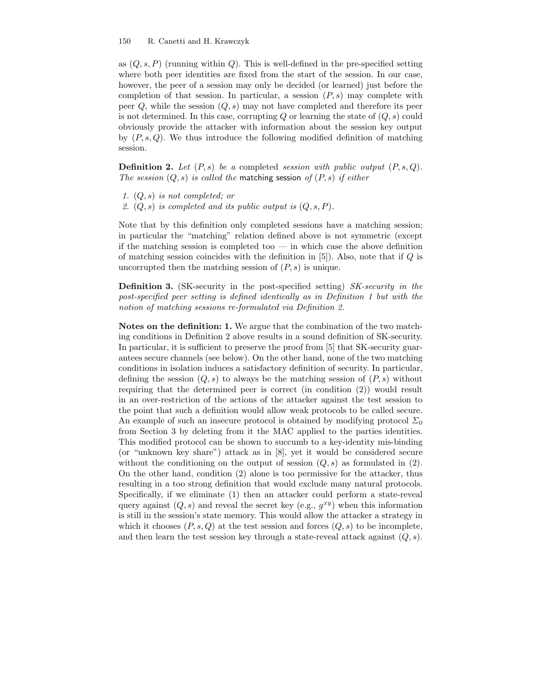#### 150 R. Canetti and H. Krawczyk

as  $(Q, s, P)$  (running within  $Q$ ). This is well-defined in the pre-specified setting where both peer identities are fixed from the start of the session. In our case, however, the peer of a session may only be decided (or learned) just before the completion of that session. In particular, a session  $(P, s)$  may complete with peer  $Q$ , while the session  $(Q, s)$  may not have completed and therefore its peer is not determined. In this case, corrupting  $Q$  or learning the state of  $(Q, s)$  could obviously provide the attacker with information about the session key output by  $(P, s, Q)$ . We thus introduce the following modified definition of matching session.

**Definition 2.** Let  $(P, s)$  be a completed session with public output  $(P, s, Q)$ . The session  $(Q, s)$  is called the matching session of  $(P, s)$  if either

- 1. (Q, s) is not completed; or
- 2.  $(Q, s)$  is completed and its public output is  $(Q, s, P)$ .

Note that by this definition only completed sessions have a matching session; in particular the "matching" relation defined above is not symmetric (except if the matching session is completed too — in which case the above definition of matching session coincides with the definition in  $[5]$ ). Also, note that if  $Q$  is uncorrupted then the matching session of  $(P, s)$  is unique.

Definition 3. (SK-security in the post-specified setting) SK-security in the post-specified peer setting is defined identically as in Definition 1 but with the notion of matching sessions re-formulated via Definition 2.

Notes on the definition: 1. We argue that the combination of the two matching conditions in Definition 2 above results in a sound definition of SK-security. In particular, it is sufficient to preserve the proof from [5] that SK-security guarantees secure channels (see below). On the other hand, none of the two matching conditions in isolation induces a satisfactory definition of security. In particular, defining the session  $(Q, s)$  to always be the matching session of  $(P, s)$  without requiring that the determined peer is correct (in condition (2)) would result in an over-restriction of the actions of the attacker against the test session to the point that such a definition would allow weak protocols to be called secure. An example of such an insecure protocol is obtained by modifying protocol  $\Sigma_0$ from Section 3 by deleting from it the MAC applied to the parties identities. This modified protocol can be shown to succumb to a key-identity mis-binding (or "unknown key share") attack as in [8], yet it would be considered secure without the conditioning on the output of session  $(Q, s)$  as formulated in  $(2)$ . On the other hand, condition (2) alone is too permissive for the attacker, thus resulting in a too strong definition that would exclude many natural protocols. Specifically, if we eliminate (1) then an attacker could perform a state-reveal query against  $(Q, s)$  and reveal the secret key (e.g.,  $g^{xy}$ ) when this information is still in the session's state memory. This would allow the attacker a strategy in which it chooses  $(P, s, Q)$  at the test session and forces  $(Q, s)$  to be incomplete, and then learn the test session key through a state-reveal attack against  $(Q, s)$ .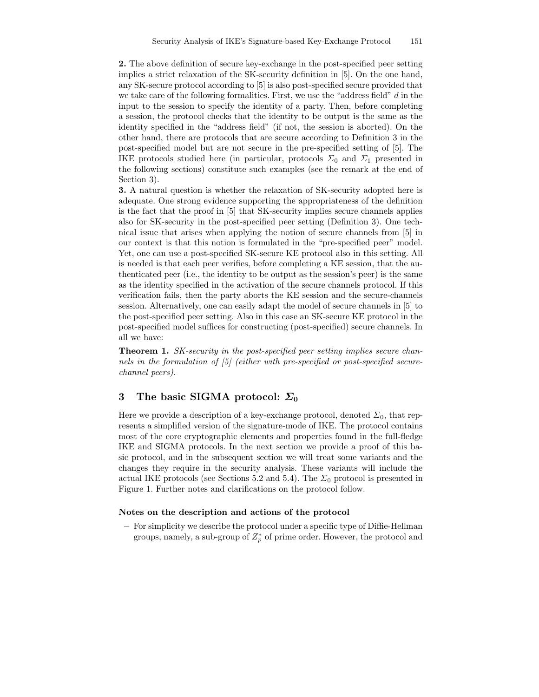2. The above definition of secure key-exchange in the post-specified peer setting implies a strict relaxation of the SK-security definition in [5]. On the one hand, any SK-secure protocol according to [5] is also post-specified secure provided that we take care of the following formalities. First, we use the "address field" d in the input to the session to specify the identity of a party. Then, before completing a session, the protocol checks that the identity to be output is the same as the identity specified in the "address field" (if not, the session is aborted). On the other hand, there are protocols that are secure according to Definition 3 in the post-specified model but are not secure in the pre-specified setting of [5]. The IKE protocols studied here (in particular, protocols  $\Sigma_0$  and  $\Sigma_1$  presented in the following sections) constitute such examples (see the remark at the end of Section 3).

3. A natural question is whether the relaxation of SK-security adopted here is adequate. One strong evidence supporting the appropriateness of the definition is the fact that the proof in [5] that SK-security implies secure channels applies also for SK-security in the post-specified peer setting (Definition 3). One technical issue that arises when applying the notion of secure channels from [5] in our context is that this notion is formulated in the "pre-specified peer" model. Yet, one can use a post-specified SK-secure KE protocol also in this setting. All is needed is that each peer verifies, before completing a KE session, that the authenticated peer (i.e., the identity to be output as the session's peer) is the same as the identity specified in the activation of the secure channels protocol. If this verification fails, then the party aborts the KE session and the secure-channels session. Alternatively, one can easily adapt the model of secure channels in [5] to the post-specified peer setting. Also in this case an SK-secure KE protocol in the post-specified model suffices for constructing (post-specified) secure channels. In all we have:

Theorem 1. SK-security in the post-specified peer setting implies secure channels in the formulation of [5] (either with pre-specified or post-specified securechannel peers).

# 3 The basic SIGMA protocol:  $\Sigma_0$

Here we provide a description of a key-exchange protocol, denoted  $\Sigma_0$ , that represents a simplified version of the signature-mode of IKE. The protocol contains most of the core cryptographic elements and properties found in the full-fledge IKE and SIGMA protocols. In the next section we provide a proof of this basic protocol, and in the subsequent section we will treat some variants and the changes they require in the security analysis. These variants will include the actual IKE protocols (see Sections 5.2 and 5.4). The  $\Sigma_0$  protocol is presented in Figure 1. Further notes and clarifications on the protocol follow.

## Notes on the description and actions of the protocol

– For simplicity we describe the protocol under a specific type of Diffie-Hellman groups, namely, a sub-group of  $Z_p^*$  of prime order. However, the protocol and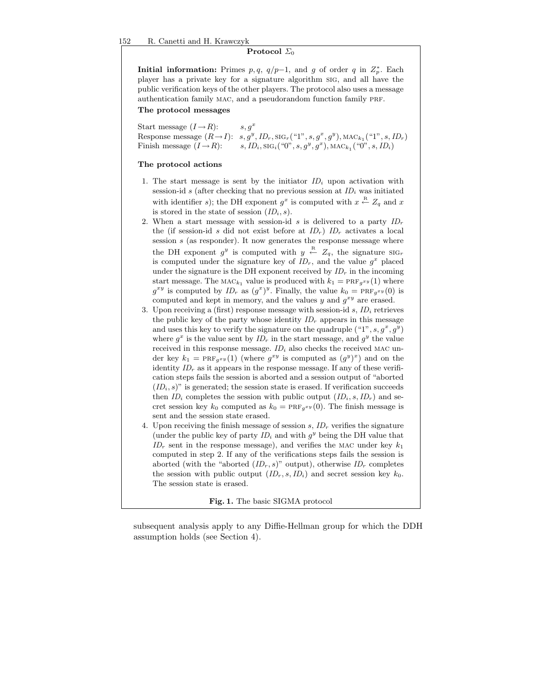#### Protocol Σ0

**Initial information:** Primes p, q,  $q/p-1$ , and g of order q in  $Z_p^*$ . Each player has a private key for a signature algorithm sig, and all have the public verification keys of the other players. The protocol also uses a message authentication family MAC, and a pseudorandom function family PRF.

## The protocol messages

Start message  $(I \rightarrow R)$ :  $s, g^x$ Response message  $(R \rightarrow I)$ :  $s, g^y, ID_r$ ,  $\text{SIG}_r("1", s, g^x, g^y)$ ,  $\text{MAC}_{k_1}("1", s, ID_r)$ Finish message  $(I \rightarrow R)$ :  $(y^y, g^x)$ , MAC<sub>k<sub>1</sub></sub> ("0", s, ID<sub>i</sub>)

#### The protocol actions

- 1. The start message is sent by the initiator  $ID_i$  upon activation with session-id s (after checking that no previous session at  $ID_i$  was initiated with identifier s); the DH exponent  $g^x$  is computed with  $x \stackrel{\text{R}}{\leftarrow} Z_q$  and x is stored in the state of session  $(ID_i, s)$ .
- 2. When a start message with session-id s is delivered to a party  $ID<sub>r</sub>$ the (if session-id s did not exist before at  $ID<sub>r</sub>$ )  $ID<sub>r</sub>$  activates a local session s (as responder). It now generates the response message where the DH exponent  $g^y$  is computed with  $y \stackrel{\text{R}}{\leftarrow} Z_q$ , the signature  $\text{SIG}_r$ is computed under the signature key of  $ID_r$ , and the value  $g^x$  placed under the signature is the DH exponent received by  $ID<sub>r</sub>$  in the incoming start message. The MAC<sub>k<sub>1</sub></sub> value is produced with  $k_1 = \text{PRF}_g^{xy}(1)$  where  $g^{xy}$  is computed by  $ID_r$  as  $(g^x)^y$ . Finally, the value  $k_0 = \text{PRF}_{g^{xy}}(0)$  is computed and kept in memory, and the values  $y$  and  $g^{xy}$  are erased.
- 3. Upon receiving a (first) response message with session-id  $s$ ,  $ID_i$  retrieves the public key of the party whose identity  $ID<sub>r</sub>$  appears in this message and uses this key to verify the signature on the quadruple  $({}^{\omega}1^{\nu}, s, g^x, g^y)$ where  $g^x$  is the value sent by  $ID_r$  in the start message, and  $g^y$  the value received in this response message.  $ID_i$  also checks the received MAC under key  $k_1 = PRF_g^{xy}(1)$  (where  $g^{xy}$  is computed as  $(g^y)^x$ ) and on the identity  $ID<sub>r</sub>$  as it appears in the response message. If any of these verification steps fails the session is aborted and a session output of "aborted  $(ID_i, s)$ " is generated; the session state is erased. If verification succeeds then  $ID_i$  completes the session with public output  $(ID_i, s, ID_r)$  and secret session key  $k_0$  computed as  $k_0 = PRF_gxy(0)$ . The finish message is sent and the session state erased.
- 4. Upon receiving the finish message of session  $s$ ,  $ID<sub>r</sub>$  verifies the signature (under the public key of party  $ID_i$  and with  $g^y$  being the DH value that  $ID<sub>r</sub>$  sent in the response message), and verifies the MAC under key  $k<sub>1</sub>$ computed in step 2. If any of the verifications steps fails the session is aborted (with the "aborted  $(ID_r, s)$ " output), otherwise  $ID_r$  completes the session with public output  $(ID_r, s, ID_i)$  and secret session key  $k_0$ . The session state is erased.

Fig. 1. The basic SIGMA protocol

subsequent analysis apply to any Diffie-Hellman group for which the DDH assumption holds (see Section 4).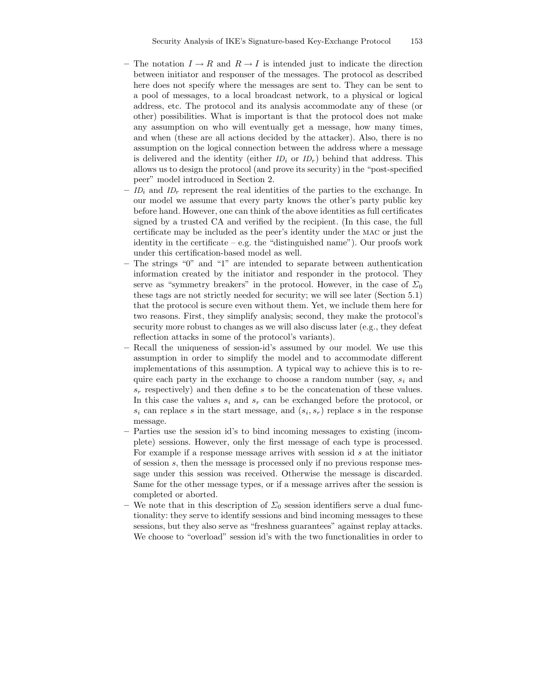- The notation  $I \to R$  and  $R \to I$  is intended just to indicate the direction between initiator and responser of the messages. The protocol as described here does not specify where the messages are sent to. They can be sent to a pool of messages, to a local broadcast network, to a physical or logical address, etc. The protocol and its analysis accommodate any of these (or other) possibilities. What is important is that the protocol does not make any assumption on who will eventually get a message, how many times, and when (these are all actions decided by the attacker). Also, there is no assumption on the logical connection between the address where a message is delivered and the identity (either  $ID_i$  or  $ID_r$ ) behind that address. This allows us to design the protocol (and prove its security) in the "post-specified peer" model introduced in Section 2.
- $ID_i$  and  $ID_r$  represent the real identities of the parties to the exchange. In our model we assume that every party knows the other's party public key before hand. However, one can think of the above identities as full certificates signed by a trusted CA and verified by the recipient. (In this case, the full certificate may be included as the peer's identity under the mac or just the identity in the certificate – e.g. the "distinguished name"). Our proofs work under this certification-based model as well.
- The strings "0" and "1" are intended to separate between authentication information created by the initiator and responder in the protocol. They serve as "symmetry breakers" in the protocol. However, in the case of  $\Sigma_0$ these tags are not strictly needed for security; we will see later (Section 5.1) that the protocol is secure even without them. Yet, we include them here for two reasons. First, they simplify analysis; second, they make the protocol's security more robust to changes as we will also discuss later (e.g., they defeat reflection attacks in some of the protocol's variants).
- Recall the uniqueness of session-id's assumed by our model. We use this assumption in order to simplify the model and to accommodate different implementations of this assumption. A typical way to achieve this is to require each party in the exchange to choose a random number (say,  $s_i$  and  $s_r$  respectively) and then define s to be the concatenation of these values. In this case the values  $s_i$  and  $s_r$  can be exchanged before the protocol, or  $s_i$  can replace s in the start message, and  $(s_i, s_r)$  replace s in the response message.
- Parties use the session id's to bind incoming messages to existing (incomplete) sessions. However, only the first message of each type is processed. For example if a response message arrives with session id s at the initiator of session s, then the message is processed only if no previous response message under this session was received. Otherwise the message is discarded. Same for the other message types, or if a message arrives after the session is completed or aborted.
- We note that in this description of  $\Sigma_0$  session identifiers serve a dual functionality: they serve to identify sessions and bind incoming messages to these sessions, but they also serve as "freshness guarantees" against replay attacks. We choose to "overload" session id's with the two functionalities in order to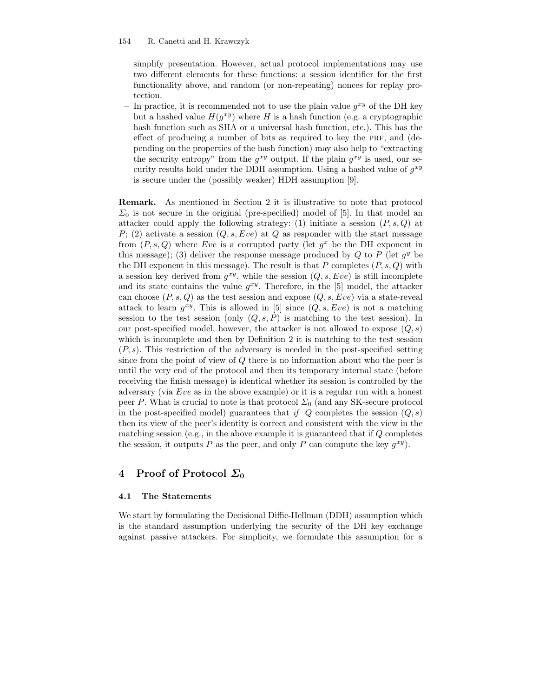simplify presentation. However, actual protocol implementations may use two different elements for these functions: a session identifier for the first functionality above, and random (or non-repeating) nonces for replay protection.

- In practice, it is recommended not to use the plain value  $g^{xy}$  of the DH key but a hashed value  $H(g^{xy})$  where H is a hash function (e.g. a cryptographic hash function such as SHA or a universal hash function, etc.). This has the effect of producing a number of bits as required to key the PRF, and (depending on the properties of the hash function) may also help to "extracting the security entropy" from the  $g^{xy}$  output. If the plain  $g^{xy}$  is used, our security results hold under the DDH assumption. Using a hashed value of  $g^{xy}$ is secure under the (possibly weaker) HDH assumption [9].

Remark. As mentioned in Section 2 it is illustrative to note that protocol  $\Sigma_0$  is not secure in the original (pre-specified) model of [5]. In that model an attacker could apply the following strategy: (1) initiate a session  $(P, s, Q)$  at P; (2) activate a session  $(Q, s, Eve)$  at Q as responder with the start message from  $(P, s, Q)$  where Eve is a corrupted party (let  $g^x$  be the DH exponent in this message); (3) deliver the response message produced by  $Q$  to  $P$  (let  $g^y$  be the DH exponent in this message). The result is that  $P$  completes  $(P, s, Q)$  with a session key derived from  $g^{xy}$ , while the session  $(Q, s, Eve)$  is still incomplete and its state contains the value  $g^{xy}$ . Therefore, in the [5] model, the attacker can choose  $(P, s, Q)$  as the test session and expose  $(Q, s, Eve)$  via a state-reveal attack to learn  $g^{xy}$ . This is allowed in [5] since  $(Q, s, Eve)$  is not a matching session to the test session (only  $(Q, s, P)$ ) is matching to the test session). In our post-specified model, however, the attacker is not allowed to expose  $(Q, s)$ which is incomplete and then by Definition 2 it is matching to the test session  $(P, s)$ . This restriction of the adversary is needed in the post-specified setting since from the point of view of Q there is no information about who the peer is until the very end of the protocol and then its temporary internal state (before receiving the finish message) is identical whether its session is controlled by the adversary (via Eve as in the above example) or it is a regular run with a honest peer P. What is crucial to note is that protocol  $\Sigma_0$  (and any SK-secure protocol in the post-specified model) guarantees that if  $Q$  completes the session  $(Q, s)$ then its view of the peer's identity is correct and consistent with the view in the matching session (e.g., in the above example it is guaranteed that if  $Q$  completes the session, it outputs P as the peer, and only P can compute the key  $g^{xy}$ ).

# 4 Proof of Protocol  $\Sigma_0$

#### 4.1 The Statements

We start by formulating the Decisional Diffie-Hellman (DDH) assumption which is the standard assumption underlying the security of the DH key exchange against passive attackers. For simplicity, we formulate this assumption for a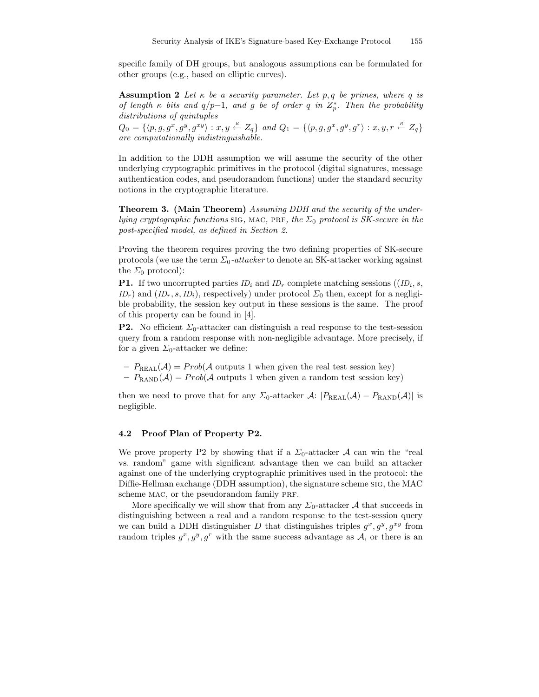specific family of DH groups, but analogous assumptions can be formulated for other groups (e.g., based on elliptic curves).

**Assumption 2** Let  $\kappa$  be a security parameter. Let p, q be primes, where q is of length  $\kappa$  bits and  $q/p-1$ , and g be of order q in  $Z_p^*$ . Then the probability distributions of quintuples

 $Q_0 = \{ \langle p, g, g^x, g^y, g^{xy} \rangle : x, y \stackrel{\mathbb{R}}{\leftarrow} Z_q \}$  and  $Q_1 = \{ \langle p, g, g^x, g^y, g^r \rangle : x, y, r \stackrel{\mathbb{R}}{\leftarrow} Z_q \}$ are computationally indistinguishable.

In addition to the DDH assumption we will assume the security of the other underlying cryptographic primitives in the protocol (digital signatures, message authentication codes, and pseudorandom functions) under the standard security notions in the cryptographic literature.

Theorem 3. (Main Theorem) Assuming DDH and the security of the underlying cryptographic functions sig, MAC, PRF, the  $\Sigma_0$  protocol is SK-secure in the post-specified model, as defined in Section 2.

Proving the theorem requires proving the two defining properties of SK-secure protocols (we use the term  $\Sigma_0$ -attacker to denote an SK-attacker working against the  $\Sigma_0$  protocol):

**P1.** If two uncorrupted parties  $ID_i$  and  $ID_r$  complete matching sessions (( $ID_i$ , s,  $ID_r$ ) and  $(ID_r, s, ID_i)$ , respectively) under protocol  $\Sigma_0$  then, except for a negligible probability, the session key output in these sessions is the same. The proof of this property can be found in [4].

**P2.** No efficient  $\Sigma_0$ -attacker can distinguish a real response to the test-session query from a random response with non-negligible advantage. More precisely, if for a given  $\Sigma_0$ -attacker we define:

–  $P_{\text{REAL}}(\mathcal{A}) = Prob(\mathcal{A}$  outputs 1 when given the real test session key)

–  $P_{\text{RAND}}(\mathcal{A}) = Prob(\mathcal{A}$  outputs 1 when given a random test session key)

then we need to prove that for any  $\Sigma_0$ -attacker  $\mathcal{A}: |P_{\text{REAL}}(\mathcal{A}) - P_{\text{RAND}}(\mathcal{A})|$  is negligible.

## 4.2 Proof Plan of Property P2.

We prove property P2 by showing that if a  $\Sigma_0$ -attacker A can win the "real vs. random" game with significant advantage then we can build an attacker against one of the underlying cryptographic primitives used in the protocol: the Diffie-Hellman exchange (DDH assumption), the signature scheme sig, the MAC scheme MAC, or the pseudorandom family PRF.

More specifically we will show that from any  $\Sigma_0$ -attacker A that succeeds in distinguishing between a real and a random response to the test-session query we can build a DDH distinguisher D that distinguishes triples  $g^x, g^y, g^{xy}$  from random triples  $g^x, g^y, g^r$  with the same success advantage as A, or there is an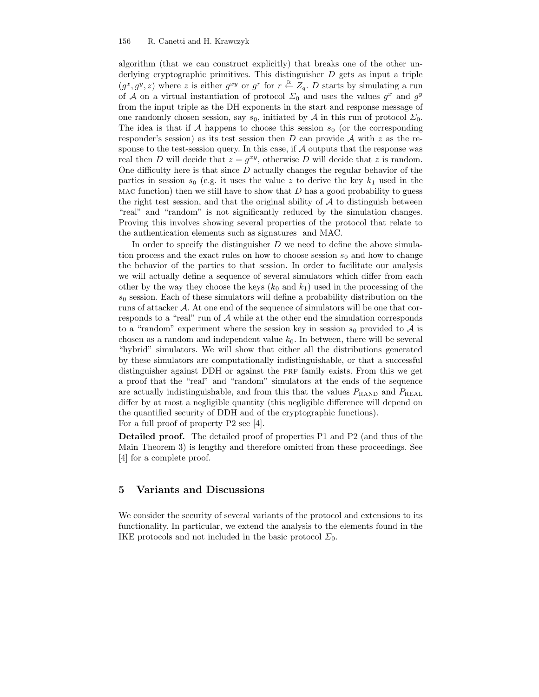algorithm (that we can construct explicitly) that breaks one of the other underlying cryptographic primitives. This distinguisher  $D$  gets as input a triple  $(g^x, g^y, z)$  where z is either  $g^{xy}$  or  $g^r$  for  $r \stackrel{\text{R}}{\leftarrow} Z_q$ . D starts by simulating a run of A on a virtual instantiation of protocol  $\Sigma_0$  and uses the values  $g^x$  and  $g^y$ from the input triple as the DH exponents in the start and response message of one randomly chosen session, say  $s_0$ , initiated by A in this run of protocol  $\Sigma_0$ . The idea is that if A happens to choose this session  $s_0$  (or the corresponding responder's session) as its test session then D can provide  $A$  with z as the response to the test-session query. In this case, if  $A$  outputs that the response was real then D will decide that  $z = g^{xy}$ , otherwise D will decide that z is random. One difficulty here is that since  $D$  actually changes the regular behavior of the parties in session  $s_0$  (e.g. it uses the value z to derive the key  $k_1$  used in the MAC function) then we still have to show that  $D$  has a good probability to guess the right test session, and that the original ability of  $A$  to distinguish between "real" and "random" is not significantly reduced by the simulation changes. Proving this involves showing several properties of the protocol that relate to the authentication elements such as signatures and MAC.

In order to specify the distinguisher  $D$  we need to define the above simulation process and the exact rules on how to choose session  $s_0$  and how to change the behavior of the parties to that session. In order to facilitate our analysis we will actually define a sequence of several simulators which differ from each other by the way they choose the keys  $(k_0 \text{ and } k_1)$  used in the processing of the  $s_0$  session. Each of these simulators will define a probability distribution on the runs of attacker A. At one end of the sequence of simulators will be one that corresponds to a "real" run of  $\mathcal A$  while at the other end the simulation corresponds to a "random" experiment where the session key in session  $s_0$  provided to A is chosen as a random and independent value  $k_0$ . In between, there will be several "hybrid" simulators. We will show that either all the distributions generated by these simulators are computationally indistinguishable, or that a successful distinguisher against DDH or against the PRF family exists. From this we get a proof that the "real" and "random" simulators at the ends of the sequence are actually indistinguishable, and from this that the values  $P_{\text{RAND}}$  and  $P_{\text{REAL}}$ differ by at most a negligible quantity (this negligible difference will depend on the quantified security of DDH and of the cryptographic functions). For a full proof of property P2 see [4].

Detailed proof. The detailed proof of properties P1 and P2 (and thus of the Main Theorem 3) is lengthy and therefore omitted from these proceedings. See [4] for a complete proof.

## 5 Variants and Discussions

We consider the security of several variants of the protocol and extensions to its functionality. In particular, we extend the analysis to the elements found in the IKE protocols and not included in the basic protocol  $\Sigma_0$ .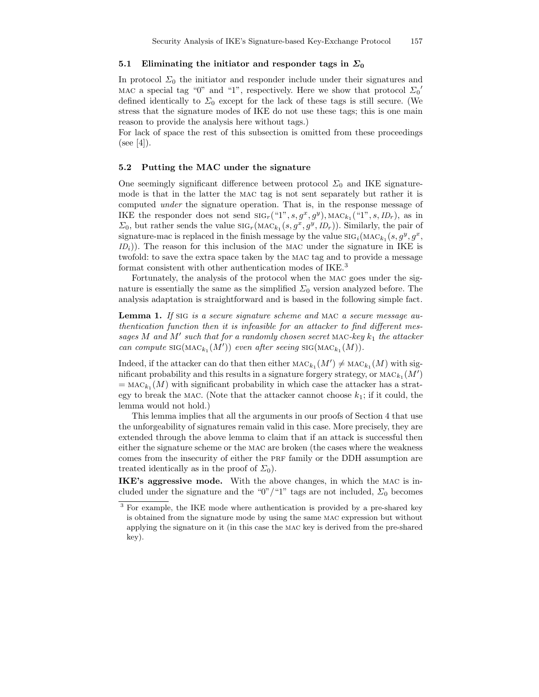#### 5.1 Eliminating the initiator and responder tags in  $\Sigma_0$

In protocol  $\Sigma_0$  the initiator and responder include under their signatures and MAC a special tag "0" and "1", respectively. Here we show that protocol  $\Sigma_0$ " defined identically to  $\Sigma_0$  except for the lack of these tags is still secure. (We stress that the signature modes of IKE do not use these tags; this is one main reason to provide the analysis here without tags.)

For lack of space the rest of this subsection is omitted from these proceedings  $(see [4]).$ 

## 5.2 Putting the MAC under the signature

One seemingly significant difference between protocol  $\Sigma_0$  and IKE signaturemode is that in the latter the mac tag is not sent separately but rather it is computed under the signature operation. That is, in the response message of IKE the responder does not send  $\text{SIG}_r({}^n1^n, s, g^x, g^y)$ ,  $\text{MAC}_{k_1}({}^n1^n, s, ID_r)$ , as in  $\Sigma_0$ , but rather sends the value  $\text{SIG}_r(\text{MAC}_{k_1}(s, g^x, g^y, ID_r))$ . Similarly, the pair of signature-mac is replaced in the finish message by the value  $\text{sig}_i(\text{MAC}_{k_1}(s, g^y, g^x, g^z))$  $ID<sub>i</sub>$ )). The reason for this inclusion of the MAC under the signature in IKE is twofold: to save the extra space taken by the mac tag and to provide a message format consistent with other authentication modes of IKE.<sup>3</sup>

Fortunately, the analysis of the protocol when the mac goes under the signature is essentially the same as the simplified  $\Sigma_0$  version analyzed before. The analysis adaptation is straightforward and is based in the following simple fact.

**Lemma 1.** If SIG is a secure signature scheme and MAC a secure message authentication function then it is infeasible for an attacker to find different messages M and M' such that for a randomly chosen secret MAC-key  $k_1$  the attacker can compute  $\text{sig}(\text{MAC}_{k_1}(M'))$  even after seeing  $\text{sig}(\text{MAC}_{k_1}(M)).$ 

Indeed, if the attacker can do that then either  $\text{MAC}_{k_1}(M') \neq \text{MAC}_{k_1}(M)$  with significant probability and this results in a signature forgery strategy, or  $\text{MAC}_{k_1}(M')$  $=$  MAC<sub>k<sub>1</sub></sub>(M) with significant probability in which case the attacker has a strategy to break the MAC. (Note that the attacker cannot choose  $k_1$ ; if it could, the lemma would not hold.)

This lemma implies that all the arguments in our proofs of Section 4 that use the unforgeability of signatures remain valid in this case. More precisely, they are extended through the above lemma to claim that if an attack is successful then either the signature scheme or the mac are broken (the cases where the weakness comes from the insecurity of either the PRF family or the DDH assumption are treated identically as in the proof of  $\Sigma_0$ ).

IKE's aggressive mode. With the above changes, in which the mac is included under the signature and the "0"/"1" tags are not included,  $\Sigma_0$  becomes

<sup>3</sup> For example, the IKE mode where authentication is provided by a pre-shared key is obtained from the signature mode by using the same mac expression but without applying the signature on it (in this case the mac key is derived from the pre-shared key).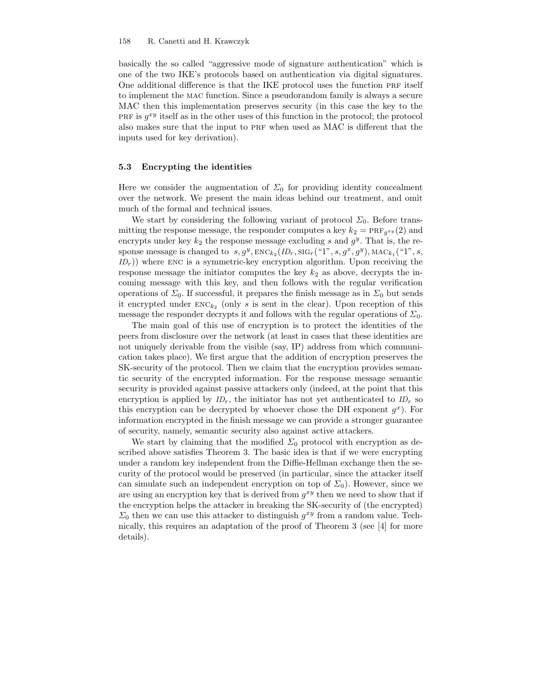basically the so called "aggressive mode of signature authentication" which is one of the two IKE's protocols based on authentication via digital signatures. One additional difference is that the IKE protocol uses the function PRF itself to implement the mac function. Since a pseudorandom family is always a secure MAC then this implementation preserves security (in this case the key to the PRF is  $g^{xy}$  itself as in the other uses of this function in the protocol; the protocol also makes sure that the input to PRF when used as MAC is different that the inputs used for key derivation).

#### 5.3 Encrypting the identities

Here we consider the augmentation of  $\Sigma_0$  for providing identity concealment over the network. We present the main ideas behind our treatment, and omit much of the formal and technical issues.

We start by considering the following variant of protocol  $\Sigma_0$ . Before transmitting the response message, the responder computes a key  $k_2 = \text{PRF}_{g^{xy}}(2)$  and encrypts under key  $k_2$  the response message excluding s and  $g<sup>y</sup>$ . That is, the response message is changed to  $s, g^y$ ,  $\text{ENC}_{k_2}(ID_r, \text{SIG}_r({}^\text{``}1", s, g^x, g^y), \text{MAC}_{k_1}({}^\text{``}1", s, g^y)$  $ID<sub>r</sub>$ )) where ENC is a symmetric-key encryption algorithm. Upon receiving the response message the initiator computes the key  $k_2$  as above, decrypts the incoming message with this key, and then follows with the regular verification operations of  $\Sigma_0$ . If successful, it prepares the finish message as in  $\Sigma_0$  but sends it encrypted under  $ENC_{k_2}$  (only s is sent in the clear). Upon reception of this message the responder decrypts it and follows with the regular operations of  $\Sigma_0$ .

The main goal of this use of encryption is to protect the identities of the peers from disclosure over the network (at least in cases that these identities are not uniquely derivable from the visible (say, IP) address from which communication takes place). We first argue that the addition of encryption preserves the SK-security of the protocol. Then we claim that the encryption provides semantic security of the encrypted information. For the response message semantic security is provided against passive attackers only (indeed, at the point that this encryption is applied by  $ID_r$ , the initiator has not yet authenticated to  $ID_r$  so this encryption can be decrypted by whoever chose the DH exponent  $g^x$ ). For information encrypted in the finish message we can provide a stronger guarantee of security, namely, semantic security also against active attackers.

We start by claiming that the modified  $\Sigma_0$  protocol with encryption as described above satisfies Theorem 3. The basic idea is that if we were encrypting under a random key independent from the Diffie-Hellman exchange then the security of the protocol would be preserved (in particular, since the attacker itself can simulate such an independent encryption on top of  $\Sigma_0$ ). However, since we are using an encryption key that is derived from  $g^{xy}$  then we need to show that if the encryption helps the attacker in breaking the SK-security of (the encrypted)  $\Sigma_0$  then we can use this attacker to distinguish  $g^{xy}$  from a random value. Technically, this requires an adaptation of the proof of Theorem 3 (see [4] for more details).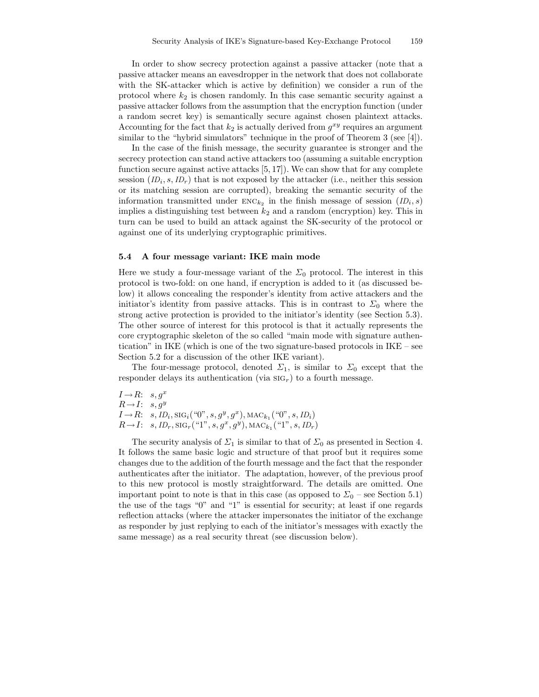In order to show secrecy protection against a passive attacker (note that a passive attacker means an eavesdropper in the network that does not collaborate with the SK-attacker which is active by definition) we consider a run of the protocol where  $k_2$  is chosen randomly. In this case semantic security against a passive attacker follows from the assumption that the encryption function (under a random secret key) is semantically secure against chosen plaintext attacks. Accounting for the fact that  $k_2$  is actually derived from  $g^{xy}$  requires an argument similar to the "hybrid simulators" technique in the proof of Theorem 3 (see [4]).

In the case of the finish message, the security guarantee is stronger and the secrecy protection can stand active attackers too (assuming a suitable encryption function secure against active attacks  $[5, 17]$ . We can show that for any complete session  $(ID_i, s, ID_r)$  that is not exposed by the attacker (i.e., neither this session or its matching session are corrupted), breaking the semantic security of the information transmitted under  $ENC_{k_2}$  in the finish message of session  $(ID_i, s)$ implies a distinguishing test between  $k_2$  and a random (encryption) key. This in turn can be used to build an attack against the SK-security of the protocol or against one of its underlying cryptographic primitives.

## 5.4 A four message variant: IKE main mode

Here we study a four-message variant of the  $\Sigma_0$  protocol. The interest in this protocol is two-fold: on one hand, if encryption is added to it (as discussed below) it allows concealing the responder's identity from active attackers and the initiator's identity from passive attacks. This is in contrast to  $\Sigma_0$  where the strong active protection is provided to the initiator's identity (see Section 5.3). The other source of interest for this protocol is that it actually represents the core cryptographic skeleton of the so called "main mode with signature authentication" in IKE (which is one of the two signature-based protocols in IKE – see Section 5.2 for a discussion of the other IKE variant).

The four-message protocol, denoted  $\Sigma_1$ , is similar to  $\Sigma_0$  except that the responder delays its authentication (via  $\text{SiG}_r$ ) to a fourth message.

 $I \rightarrow R: s, g^x$  $R \rightarrow I: s, g^y$  $I \to R$ :  $s, ID_i, SIG_i({}``0", s, g", g")$ ,  $MAC_{k_1}({}``0", s, ID_i)$  $R\rightarrow I$ :  $s, ID_r, SIG_r("1", s, g^x, g^y), MAC_{k_1}("1", s, ID_r)$ 

The security analysis of  $\Sigma_1$  is similar to that of  $\Sigma_0$  as presented in Section 4. It follows the same basic logic and structure of that proof but it requires some changes due to the addition of the fourth message and the fact that the responder authenticates after the initiator. The adaptation, however, of the previous proof to this new protocol is mostly straightforward. The details are omitted. One important point to note is that in this case (as opposed to  $\Sigma_0$  – see Section 5.1) the use of the tags "0" and "1" is essential for security; at least if one regards reflection attacks (where the attacker impersonates the initiator of the exchange as responder by just replying to each of the initiator's messages with exactly the same message) as a real security threat (see discussion below).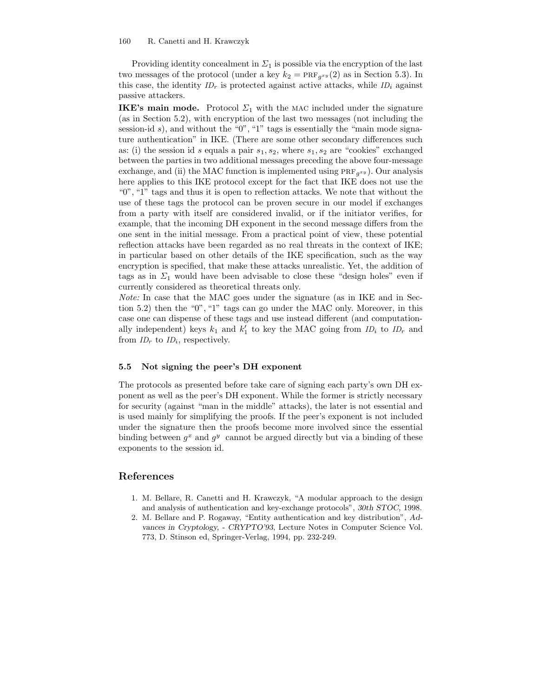#### 160 R. Canetti and H. Krawczyk

Providing identity concealment in  $\Sigma_1$  is possible via the encryption of the last two messages of the protocol (under a key  $k_2 = \text{PRF}_{g^{xy}}(2)$  as in Section 5.3). In this case, the identity  $ID<sub>r</sub>$  is protected against active attacks, while  $ID<sub>i</sub>$  against passive attackers.

**IKE's main mode.** Protocol  $\Sigma_1$  with the MAC included under the signature (as in Section 5.2), with encryption of the last two messages (not including the session-id s), and without the " $0$ ", "1" tags is essentially the "main mode signature authentication" in IKE. (There are some other secondary differences such as: (i) the session id s equals a pair  $s_1, s_2$ , where  $s_1, s_2$  are "cookies" exchanged between the parties in two additional messages preceding the above four-message exchange, and (ii) the MAC function is implemented using  $\text{PRF}_{g^{xy}}$ ). Our analysis here applies to this IKE protocol except for the fact that IKE does not use the "0", "1" tags and thus it is open to reflection attacks. We note that without the use of these tags the protocol can be proven secure in our model if exchanges from a party with itself are considered invalid, or if the initiator verifies, for example, that the incoming DH exponent in the second message differs from the one sent in the initial message. From a practical point of view, these potential reflection attacks have been regarded as no real threats in the context of IKE; in particular based on other details of the IKE specification, such as the way encryption is specified, that make these attacks unrealistic. Yet, the addition of tags as in  $\Sigma_1$  would have been advisable to close these "design holes" even if currently considered as theoretical threats only.

Note: In case that the MAC goes under the signature (as in IKE and in Section 5.2) then the "0", "1" tags can go under the MAC only. Moreover, in this case one can dispense of these tags and use instead different (and computationally independent) keys  $k_1$  and  $k'_1$  to key the MAC going from  $ID_i$  to  $ID_r$  and from  $ID<sub>r</sub>$  to  $ID<sub>i</sub>$ , respectively.

### 5.5 Not signing the peer's DH exponent

The protocols as presented before take care of signing each party's own DH exponent as well as the peer's DH exponent. While the former is strictly necessary for security (against "man in the middle" attacks), the later is not essential and is used mainly for simplifying the proofs. If the peer's exponent is not included under the signature then the proofs become more involved since the essential binding between  $g^x$  and  $g^y$  cannot be argued directly but via a binding of these exponents to the session id.

# References

- 1. M. Bellare, R. Canetti and H. Krawczyk, "A modular approach to the design and analysis of authentication and key-exchange protocols", 30th STOC, 1998.
- 2. M. Bellare and P. Rogaway, "Entity authentication and key distribution", Advances in Cryptology, - CRYPTO'93, Lecture Notes in Computer Science Vol. 773, D. Stinson ed, Springer-Verlag, 1994, pp. 232-249.